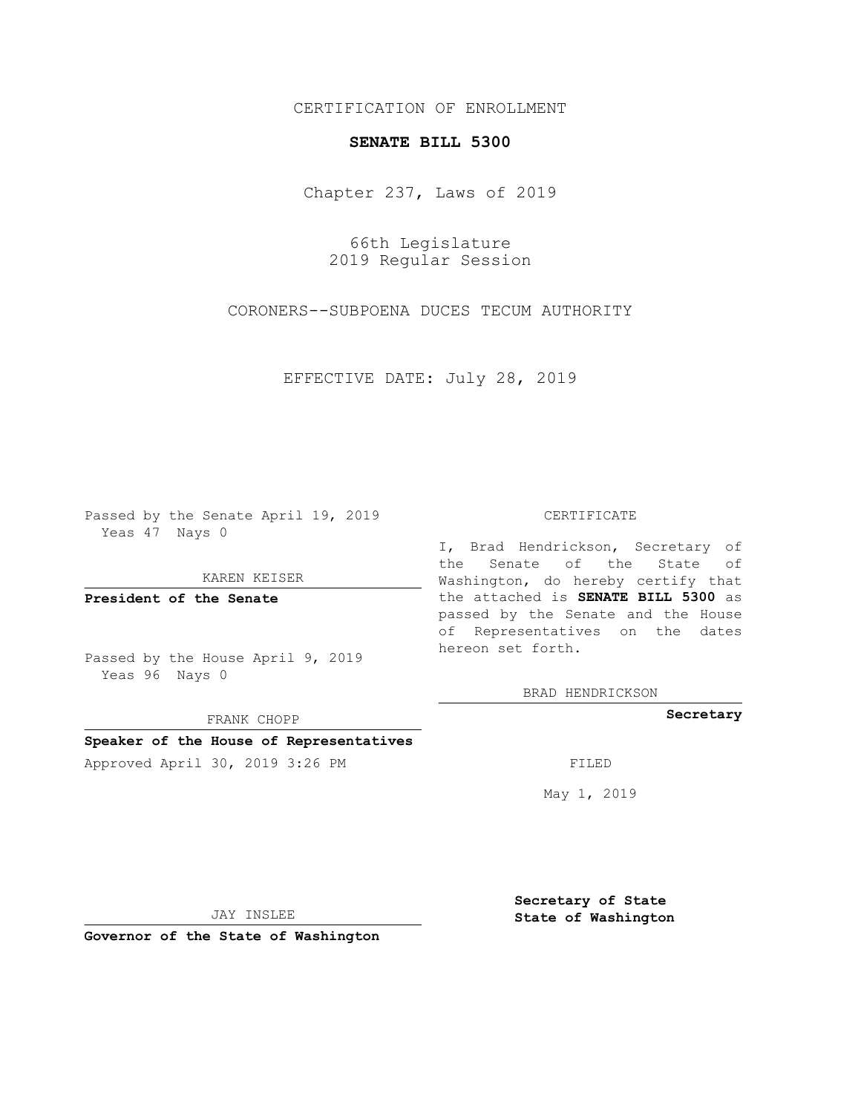# CERTIFICATION OF ENROLLMENT

### **SENATE BILL 5300**

Chapter 237, Laws of 2019

66th Legislature 2019 Regular Session

CORONERS--SUBPOENA DUCES TECUM AUTHORITY

EFFECTIVE DATE: July 28, 2019

Passed by the Senate April 19, 2019 Yeas 47 Nays 0

KAREN KEISER

**President of the Senate**

Passed by the House April 9, 2019 Yeas 96 Nays 0

FRANK CHOPP

# **Speaker of the House of Representatives**

Approved April 30, 2019 3:26 PM FILED

#### CERTIFICATE

I, Brad Hendrickson, Secretary of the Senate of the State of Washington, do hereby certify that the attached is **SENATE BILL 5300** as passed by the Senate and the House of Representatives on the dates hereon set forth.

BRAD HENDRICKSON

### **Secretary**

May 1, 2019

JAY INSLEE

**Governor of the State of Washington**

**Secretary of State State of Washington**